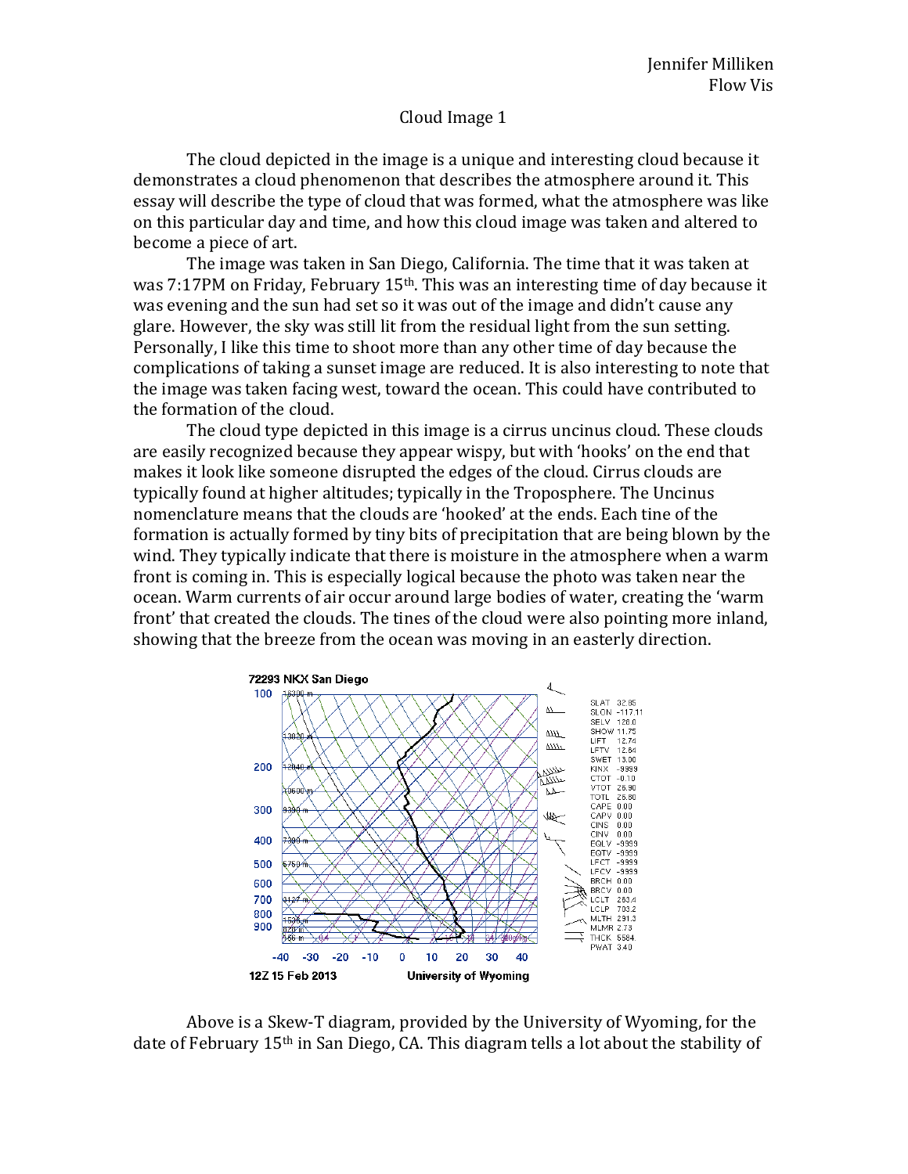## Cloud Image 1

The cloud depicted in the image is a unique and interesting cloud because it demonstrates a cloud phenomenon that describes the atmosphere around it. This essay will describe the type of cloud that was formed, what the atmosphere was like on this particular day and time, and how this cloud image was taken and altered to become a piece of art.

The image was taken in San Diego, California. The time that it was taken at was 7:17PM on Friday, February 15<sup>th</sup>. This was an interesting time of day because it was evening and the sun had set so it was out of the image and didn't cause any glare. However, the sky was still lit from the residual light from the sun setting. Personally, I like this time to shoot more than any other time of day because the complications of taking a sunset image are reduced. It is also interesting to note that the image was taken facing west, toward the ocean. This could have contributed to the formation of the cloud.

The cloud type depicted in this image is a cirrus uncinus cloud. These clouds are easily recognized because they appear wispy, but with 'hooks' on the end that makes it look like someone disrupted the edges of the cloud. Cirrus clouds are typically found at higher altitudes; typically in the Troposphere. The Uncinus nomenclature means that the clouds are 'hooked' at the ends. Each tine of the formation is actually formed by tiny bits of precipitation that are being blown by the wind. They typically indicate that there is moisture in the atmosphere when a warm front is coming in. This is especially logical because the photo was taken near the ocean. Warm currents of air occur around large bodies of water, creating the 'warm front' that created the clouds. The tines of the cloud were also pointing more inland, showing that the breeze from the ocean was moving in an easterly direction.



Above is a Skew-T diagram, provided by the University of Wyoming, for the date of February 15th in San Diego, CA. This diagram tells a lot about the stability of